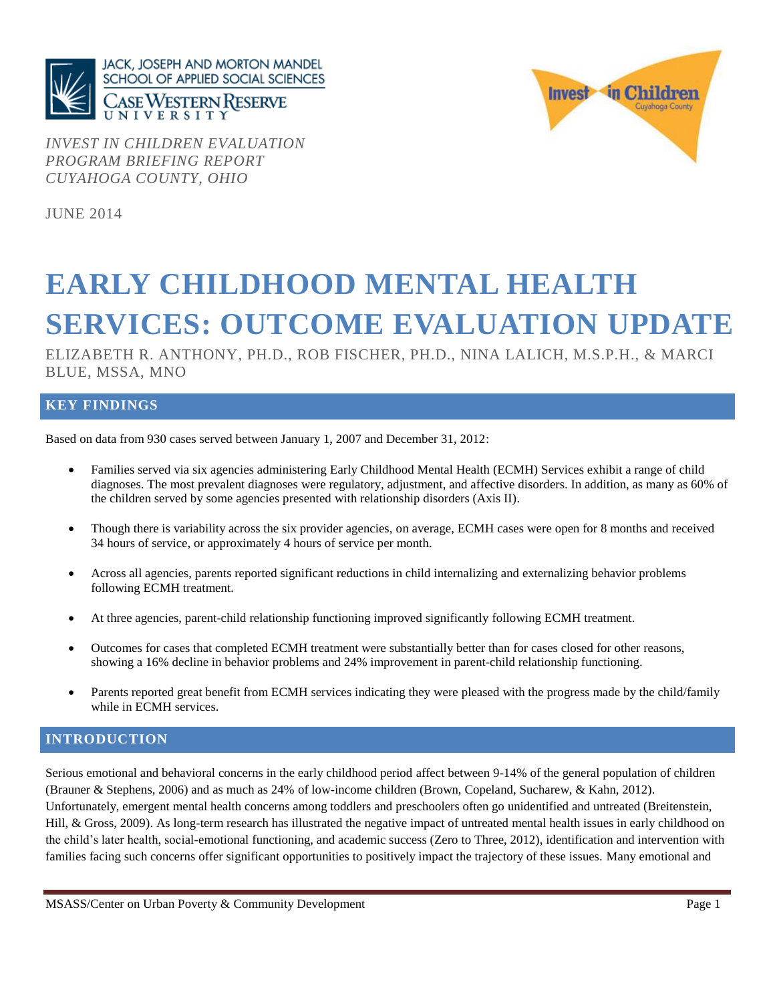

*INVEST IN CHILDREN EVALUATION PROGRAM BRIEFING REPORT CUYAHOGA COUNTY, OHIO*



JUNE 2014

# **EARLY CHILDHOOD MENTAL HEALTH SERVICES: OUTCOME EVALUATION UPDATE**

ELIZABETH R. ANTHONY, PH.D., ROB FISCHER, PH.D., NINA LALICH, M.S.P.H., & MARCI BLUE, MSSA, MNO

### **KEY FINDINGS**

Based on data from 930 cases served between January 1, 2007 and December 31, 2012:

- Families served via six agencies administering Early Childhood Mental Health (ECMH) Services exhibit a range of child diagnoses. The most prevalent diagnoses were regulatory, adjustment, and affective disorders. In addition, as many as 60% of the children served by some agencies presented with relationship disorders (Axis II).
- Though there is variability across the six provider agencies, on average, ECMH cases were open for 8 months and received 34 hours of service, or approximately 4 hours of service per month.
- Across all agencies, parents reported significant reductions in child internalizing and externalizing behavior problems following ECMH treatment.
- At three agencies, parent-child relationship functioning improved significantly following ECMH treatment.
- Outcomes for cases that completed ECMH treatment were substantially better than for cases closed for other reasons, showing a 16% decline in behavior problems and 24% improvement in parent-child relationship functioning.
- Parents reported great benefit from ECMH services indicating they were pleased with the progress made by the child/family while in ECMH services.

### **INTRODUCTION**

Serious emotional and behavioral concerns in the early childhood period affect between 9-14% of the general population of children (Brauner & Stephens, 2006) and as much as 24% of low-income children (Brown, Copeland, Sucharew, & Kahn, 2012). Unfortunately, emergent mental health concerns among toddlers and preschoolers often go unidentified and untreated (Breitenstein, Hill, & Gross, 2009). As long-term research has illustrated the negative impact of untreated mental health issues in early childhood on the child's later health, social-emotional functioning, and academic success (Zero to Three, 2012), identification and intervention with families facing such concerns offer significant opportunities to positively impact the trajectory of these issues. Many emotional and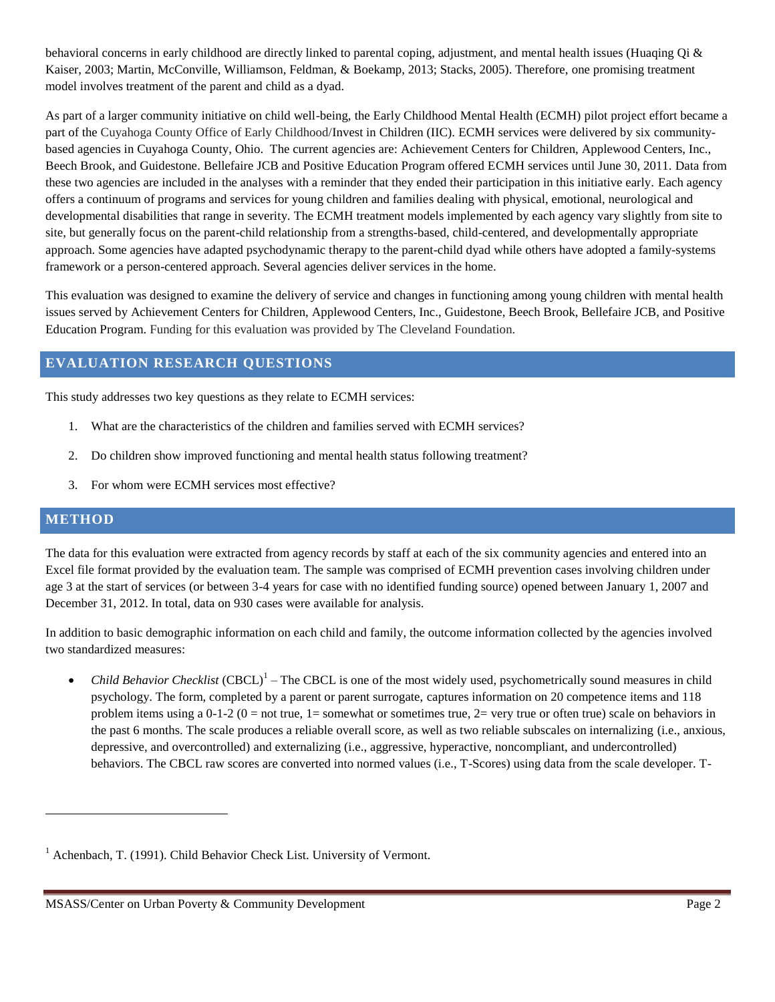behavioral concerns in early childhood are directly linked to parental coping, adjustment, and mental health issues (Huaqing Qi & Kaiser, 2003; Martin, McConville, Williamson, Feldman, & Boekamp, 2013; Stacks, 2005). Therefore, one promising treatment model involves treatment of the parent and child as a dyad.

As part of a larger community initiative on child well-being, the Early Childhood Mental Health (ECMH) pilot project effort became a part of the Cuyahoga County Office of Early Childhood/Invest in Children (IIC). ECMH services were delivered by six communitybased agencies in Cuyahoga County, Ohio. The current agencies are: Achievement Centers for Children, Applewood Centers, Inc., Beech Brook, and Guidestone. Bellefaire JCB and Positive Education Program offered ECMH services until June 30, 2011. Data from these two agencies are included in the analyses with a reminder that they ended their participation in this initiative early. Each agency offers a continuum of programs and services for young children and families dealing with physical, emotional, neurological and developmental disabilities that range in severity. The ECMH treatment models implemented by each agency vary slightly from site to site, but generally focus on the parent-child relationship from a strengths-based, child-centered, and developmentally appropriate approach. Some agencies have adapted psychodynamic therapy to the parent-child dyad while others have adopted a family-systems framework or a person-centered approach. Several agencies deliver services in the home.

This evaluation was designed to examine the delivery of service and changes in functioning among young children with mental health issues served by Achievement Centers for Children, Applewood Centers, Inc., Guidestone, Beech Brook, Bellefaire JCB, and Positive Education Program. Funding for this evaluation was provided by The Cleveland Foundation.

### **EVALUATION RESEARCH QUESTIONS**

This study addresses two key questions as they relate to ECMH services:

- 1. What are the characteristics of the children and families served with ECMH services?
- 2. Do children show improved functioning and mental health status following treatment?
- 3. For whom were ECMH services most effective?

### **METHOD**

 $\overline{a}$ 

The data for this evaluation were extracted from agency records by staff at each of the six community agencies and entered into an Excel file format provided by the evaluation team. The sample was comprised of ECMH prevention cases involving children under age 3 at the start of services (or between 3-4 years for case with no identified funding source) opened between January 1, 2007 and December 31, 2012. In total, data on 930 cases were available for analysis.

In addition to basic demographic information on each child and family, the outcome information collected by the agencies involved two standardized measures:

 $\bullet$  *Child Behavior Checklist* (CBCL)<sup>1</sup> – The CBCL is one of the most widely used, psychometrically sound measures in child psychology. The form, completed by a parent or parent surrogate, captures information on 20 competence items and 118 problem items using a  $0-1-2$  ( $0 =$  not true,  $1 =$  somewhat or sometimes true,  $2 =$  very true or often true) scale on behaviors in the past 6 months. The scale produces a reliable overall score, as well as two reliable subscales on internalizing (i.e., anxious, depressive, and overcontrolled) and externalizing (i.e., aggressive, hyperactive, noncompliant, and undercontrolled) behaviors. The CBCL raw scores are converted into normed values (i.e., T-Scores) using data from the scale developer. T-

 $1$  Achenbach, T. (1991). Child Behavior Check List. University of Vermont.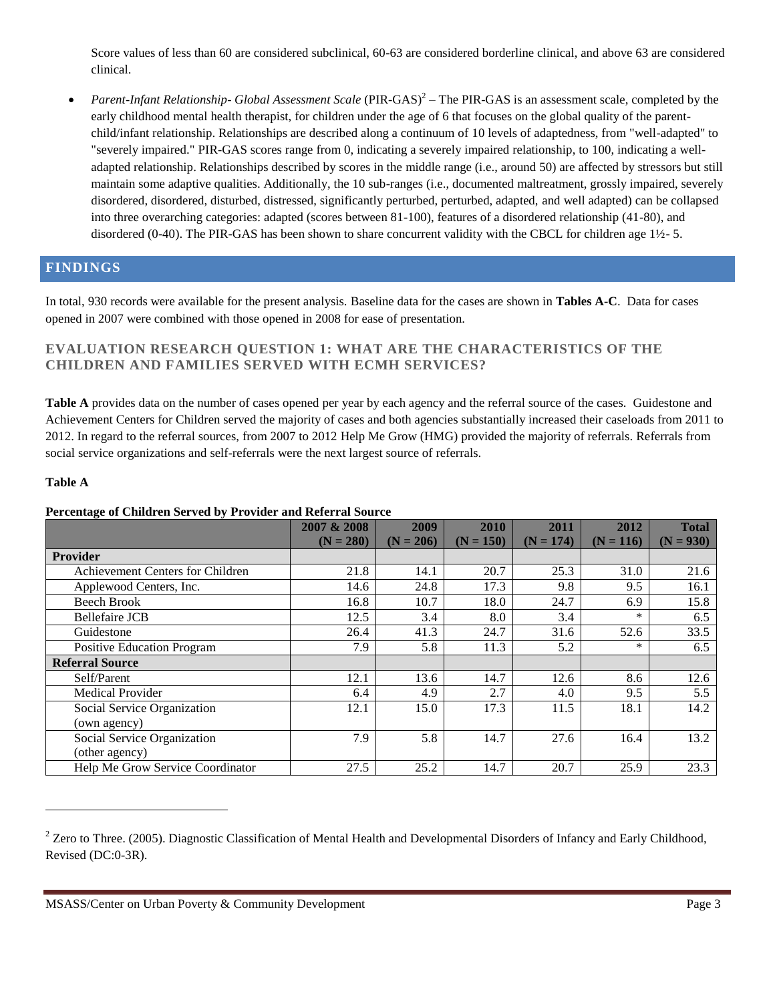Score values of less than 60 are considered subclinical, 60-63 are considered borderline clinical, and above 63 are considered clinical.

• *Parent-Infant Relationship- Global Assessment Scale* (PIR-GAS)<sup>2</sup> – The PIR-GAS is an assessment scale, completed by the early childhood mental health therapist, for children under the age of 6 that focuses on the global quality of the parentchild/infant relationship. Relationships are described along a continuum of 10 levels of adaptedness, from "well-adapted" to "severely impaired." PIR-GAS scores range from 0, indicating a severely impaired relationship, to 100, indicating a welladapted relationship. Relationships described by scores in the middle range (i.e., around 50) are affected by stressors but still maintain some adaptive qualities. Additionally, the 10 sub-ranges (i.e., documented maltreatment, grossly impaired, severely disordered, disordered, disturbed, distressed, significantly perturbed, perturbed, adapted, and well adapted) can be collapsed into three overarching categories: adapted (scores between 81-100), features of a disordered relationship (41-80), and disordered (0-40). The PIR-GAS has been shown to share concurrent validity with the CBCL for children age 1½- 5.

## **FINDINGS**

In total, 930 records were available for the present analysis. Baseline data for the cases are shown in **Tables A-C**. Data for cases opened in 2007 were combined with those opened in 2008 for ease of presentation.

### **EVALUATION RESEARCH QUESTION 1: WHAT ARE THE CHARACTERISTICS OF THE CHILDREN AND FAMILIES SERVED WITH ECMH SERVICES?**

**Table A** provides data on the number of cases opened per year by each agency and the referral source of the cases. Guidestone and Achievement Centers for Children served the majority of cases and both agencies substantially increased their caseloads from 2011 to 2012. In regard to the referral sources, from 2007 to 2012 Help Me Grow (HMG) provided the majority of referrals. Referrals from social service organizations and self-referrals were the next largest source of referrals.

### **Table A**

 $\overline{a}$ 

### **Percentage of Children Served by Provider and Referral Source**

|                                   | 2007 & 2008 | 2009        | 2010        | 2011        | 2012        | <b>Total</b> |
|-----------------------------------|-------------|-------------|-------------|-------------|-------------|--------------|
|                                   | $(N = 280)$ | $(N = 206)$ | $(N = 150)$ | $(N = 174)$ | $(N = 116)$ | $(N = 930)$  |
| <b>Provider</b>                   |             |             |             |             |             |              |
| Achievement Centers for Children  | 21.8        | 14.1        | 20.7        | 25.3        | 31.0        | 21.6         |
| Applewood Centers, Inc.           | 14.6        | 24.8        | 17.3        | 9.8         | 9.5         | 16.1         |
| <b>Beech Brook</b>                | 16.8        | 10.7        | 18.0        | 24.7        | 6.9         | 15.8         |
| <b>Bellefaire JCB</b>             | 12.5        | 3.4         | 8.0         | 3.4         | $\ast$      | 6.5          |
| Guidestone                        | 26.4        | 41.3        | 24.7        | 31.6        | 52.6        | 33.5         |
| <b>Positive Education Program</b> | 7.9         | 5.8         | 11.3        | 5.2         | $*$         | 6.5          |
| <b>Referral Source</b>            |             |             |             |             |             |              |
| Self/Parent                       | 12.1        | 13.6        | 14.7        | 12.6        | 8.6         | 12.6         |
| <b>Medical Provider</b>           | 6.4         | 4.9         | 2.7         | 4.0         | 9.5         | 5.5          |
| Social Service Organization       | 12.1        | 15.0        | 17.3        | 11.5        | 18.1        | 14.2         |
| (own agency)                      |             |             |             |             |             |              |
| Social Service Organization       | 7.9         | 5.8         | 14.7        | 27.6        | 16.4        | 13.2         |
| (other agency)                    |             |             |             |             |             |              |
| Help Me Grow Service Coordinator  | 27.5        | 25.2        | 14.7        | 20.7        | 25.9        | 23.3         |

 $2$  Zero to Three. (2005). Diagnostic Classification of Mental Health and Developmental Disorders of Infancy and Early Childhood, Revised (DC:0-3R).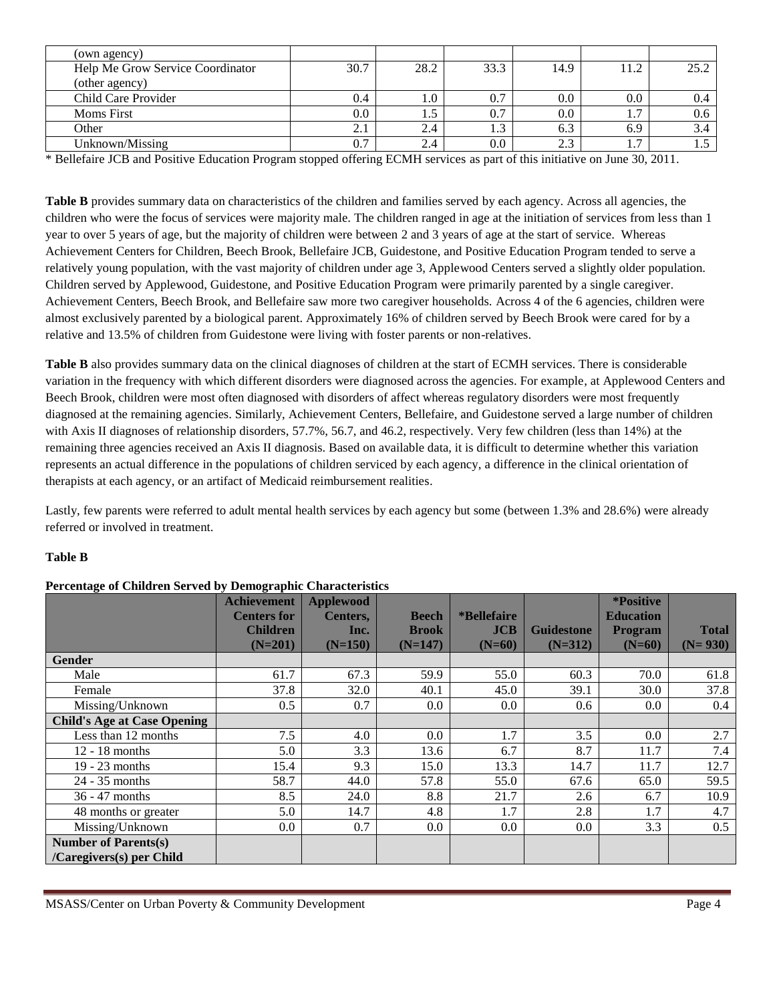| (own agency)                     |              |      |      |      |                       |                  |
|----------------------------------|--------------|------|------|------|-----------------------|------------------|
| Help Me Grow Service Coordinator | 30.7         | 28.2 | 33.3 | 14.9 | 11.2                  | 25.2             |
| (other agency)                   |              |      |      |      |                       |                  |
| Child Care Provider              | 0.4          | 1.U  | 0.7  | 0.0  | $0.0\,$               |                  |
| <b>Moms</b> First                | 0.0          |      | 0.7  | 0.0  | $\overline{ }$<br>1.1 | 0.6 <sub>1</sub> |
| Other                            | <u> 2. l</u> | 2.4  | 1.3  | 6.3  | 6.9                   |                  |
| Unknown/Missing                  | 0.7          | 2.4  | 0.0  | 2.3  | $\overline{ }$<br>1.1 |                  |

\* Bellefaire JCB and Positive Education Program stopped offering ECMH services as part of this initiative on June 30, 2011.

**Table B** provides summary data on characteristics of the children and families served by each agency. Across all agencies, the children who were the focus of services were majority male. The children ranged in age at the initiation of services from less than 1 year to over 5 years of age, but the majority of children were between 2 and 3 years of age at the start of service. Whereas Achievement Centers for Children, Beech Brook, Bellefaire JCB, Guidestone, and Positive Education Program tended to serve a relatively young population, with the vast majority of children under age 3, Applewood Centers served a slightly older population. Children served by Applewood, Guidestone, and Positive Education Program were primarily parented by a single caregiver. Achievement Centers, Beech Brook, and Bellefaire saw more two caregiver households. Across 4 of the 6 agencies, children were almost exclusively parented by a biological parent. Approximately 16% of children served by Beech Brook were cared for by a relative and 13.5% of children from Guidestone were living with foster parents or non-relatives.

**Table B** also provides summary data on the clinical diagnoses of children at the start of ECMH services. There is considerable variation in the frequency with which different disorders were diagnosed across the agencies. For example, at Applewood Centers and Beech Brook, children were most often diagnosed with disorders of affect whereas regulatory disorders were most frequently diagnosed at the remaining agencies. Similarly, Achievement Centers, Bellefaire, and Guidestone served a large number of children with Axis II diagnoses of relationship disorders, 57.7%, 56.7, and 46.2, respectively. Very few children (less than 14%) at the remaining three agencies received an Axis II diagnosis. Based on available data, it is difficult to determine whether this variation represents an actual difference in the populations of children serviced by each agency, a difference in the clinical orientation of therapists at each agency, or an artifact of Medicaid reimbursement realities.

Lastly, few parents were referred to adult mental health services by each agency but some (between 1.3% and 28.6%) were already referred or involved in treatment.

### **Table B**

| Percentage of Children Served by Demographic Characteristics |
|--------------------------------------------------------------|
|--------------------------------------------------------------|

|                                    | <b>Achievement</b> | <b>Applewood</b> |              |                     |                   | *Positive        |              |
|------------------------------------|--------------------|------------------|--------------|---------------------|-------------------|------------------|--------------|
|                                    | <b>Centers for</b> | Centers,         | <b>Beech</b> | <i>*</i> Bellefaire |                   | <b>Education</b> |              |
|                                    | <b>Children</b>    | Inc.             | <b>Brook</b> | JCB                 | <b>Guidestone</b> | <b>Program</b>   | <b>Total</b> |
|                                    | $(N=201)$          | $(N=150)$        | $(N=147)$    | $(N=60)$            | $(N=312)$         | $(N=60)$         | $(N=930)$    |
| Gender                             |                    |                  |              |                     |                   |                  |              |
| Male                               | 61.7               | 67.3             | 59.9         | 55.0                | 60.3              | 70.0             | 61.8         |
| Female                             | 37.8               | 32.0             | 40.1         | 45.0                | 39.1              | 30.0             | 37.8         |
| Missing/Unknown                    | 0.5                | 0.7              | 0.0          | 0.0                 | 0.6               | 0.0              | 0.4          |
| <b>Child's Age at Case Opening</b> |                    |                  |              |                     |                   |                  |              |
| Less than 12 months                | 7.5                | 4.0              | 0.0          | 1.7                 | 3.5               | 0.0              | 2.7          |
| $12 - 18$ months                   | 5.0                | 3.3              | 13.6         | 6.7                 | 8.7               | 11.7             | 7.4          |
| $19 - 23$ months                   | 15.4               | 9.3              | 15.0         | 13.3                | 14.7              | 11.7             | 12.7         |
| $24 - 35$ months                   | 58.7               | 44.0             | 57.8         | 55.0                | 67.6              | 65.0             | 59.5         |
| 36 - 47 months                     | 8.5                | 24.0             | 8.8          | 21.7                | 2.6               | 6.7              | 10.9         |
| 48 months or greater               | 5.0                | 14.7             | 4.8          | 1.7                 | 2.8               | 1.7              | 4.7          |
| Missing/Unknown                    | 0.0                | 0.7              | 0.0          | 0.0                 | 0.0               | 3.3              | 0.5          |
| <b>Number of Parents(s)</b>        |                    |                  |              |                     |                   |                  |              |
| /Caregivers(s) per Child           |                    |                  |              |                     |                   |                  |              |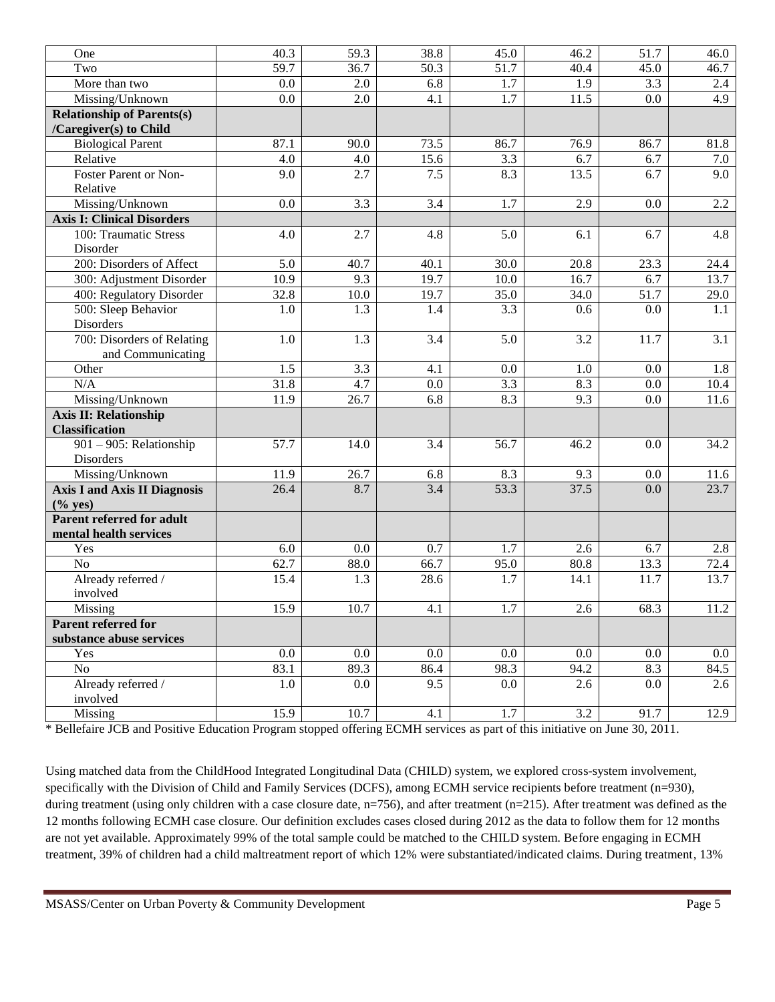| One                                 | 40.3              | $\overline{59.3}$ | 38.8    | 45.0              | 46.2             | $\overline{51.7}$ | 46.0             |
|-------------------------------------|-------------------|-------------------|---------|-------------------|------------------|-------------------|------------------|
| Two                                 | $\overline{59.7}$ | 36.7              | 50.3    | $\overline{51.7}$ | 40.4             | 45.0              | 46.7             |
| More than two                       | 0.0               | 2.0               | 6.8     | 1.7               | 1.9              | 3.3               | 2.4              |
| Missing/Unknown                     | 0.0               | 2.0               | 4.1     | $\overline{1.7}$  | 11.5             | 0.0               | 4.9              |
| <b>Relationship of Parents(s)</b>   |                   |                   |         |                   |                  |                   |                  |
| /Caregiver(s) to Child              |                   |                   |         |                   |                  |                   |                  |
| <b>Biological Parent</b>            | 87.1              | 90.0              | 73.5    | 86.7              | 76.9             | 86.7              | 81.8             |
| Relative                            | 4.0               | 4.0               | 15.6    | 3.3               | 6.7              | 6.7               | 7.0              |
| Foster Parent or Non-               | 9.0               | 2.7               | 7.5     | 8.3               | 13.5             | 6.7               | 9.0              |
| Relative                            |                   |                   |         |                   |                  |                   |                  |
| Missing/Unknown                     | 0.0               | 3.3               | 3.4     | 1.7               | 2.9              | 0.0               | $2.2\,$          |
| <b>Axis I: Clinical Disorders</b>   |                   |                   |         |                   |                  |                   |                  |
| 100: Traumatic Stress               | 4.0               | 2.7               | 4.8     | 5.0               | 6.1              | 6.7               | 4.8              |
| Disorder                            |                   |                   |         |                   |                  |                   |                  |
| 200: Disorders of Affect            | 5.0               | 40.7              | 40.1    | 30.0              | 20.8             | 23.3              | 24.4             |
| 300: Adjustment Disorder            | 10.9              | 9.3               | 19.7    | 10.0              | 16.7             | 6.7               | 13.7             |
| 400: Regulatory Disorder            | 32.8              | 10.0              | 19.7    | 35.0              | 34.0             | 51.7              | 29.0             |
| 500: Sleep Behavior                 | 1.0               | $\overline{1.3}$  | 1.4     | $\overline{3.3}$  | 0.6              | 0.0               | 1.1              |
| Disorders                           |                   |                   |         |                   |                  |                   |                  |
| 700: Disorders of Relating          | 1.0               | 1.3               | 3.4     | 5.0               | 3.2              | $\overline{1}1.7$ | $\overline{3.1}$ |
| and Communicating                   |                   |                   |         |                   |                  |                   |                  |
| Other                               | 1.5               | 3.3               | 4.1     | 0.0               | 1.0              | 0.0               | 1.8              |
| N/A                                 | 31.8              | 4.7               | 0.0     | 3.3               | 8.3              | 0.0               | 10.4             |
| Missing/Unknown                     | 11.9              | 26.7              | 6.8     | 8.3               | 9.3              | 0.0               | 11.6             |
| <b>Axis II: Relationship</b>        |                   |                   |         |                   |                  |                   |                  |
| <b>Classification</b>               |                   |                   |         |                   |                  |                   |                  |
| 901 - 905: Relationship             | $\overline{57.7}$ | 14.0              | 3.4     | $\overline{56.7}$ | 46.2             | 0.0               | 34.2             |
| Disorders                           |                   |                   |         |                   |                  |                   |                  |
| Missing/Unknown                     | 11.9              | 26.7              | 6.8     | 8.3               | 9.3              | 0.0               | 11.6             |
| <b>Axis I and Axis II Diagnosis</b> | 26.4              | 8.7               | 3.4     | 53.3              | 37.5             | 0.0               | 23.7             |
| $(\%$ yes)                          |                   |                   |         |                   |                  |                   |                  |
| <b>Parent referred for adult</b>    |                   |                   |         |                   |                  |                   |                  |
| mental health services              |                   |                   |         |                   |                  |                   |                  |
| Yes                                 | 6.0               | 0.0               | 0.7     | 1.7               | 2.6              | 6.7               | 2.8              |
| $\overline{No}$                     | 62.7              | 88.0              | 66.7    | 95.0              | 80.8             | 13.3              | 72.4             |
| Already referred /                  | 15.4              | 1.3               | 28.6    | 1.7               | 14.1             | 11.7              | 13.7             |
| involved                            |                   |                   |         |                   |                  |                   |                  |
| Missing                             | 15.9              | 10.7              | 4.1     | 1.7               | 2.6              | 68.3              | 11.2             |
| <b>Parent referred for</b>          |                   |                   |         |                   |                  |                   |                  |
| substance abuse services            |                   |                   |         |                   |                  |                   |                  |
| Yes                                 | 0.0               | $0.0\,$           | $0.0\,$ | 0.0               | $0.0\,$          | 0.0               | $0.0\,$          |
| No                                  | 83.1              | 89.3              | 86.4    | 98.3              | 94.2             | 8.3               | 84.5             |
| Already referred /<br>involved      | 1.0               | 0.0               | 9.5     | 0.0               | 2.6              | 0.0               | 2.6              |
| Missing                             | 15.9              | 10.7              | 4.1     | 1.7               | $\overline{3.2}$ | 91.7              | 12.9             |
|                                     |                   |                   |         |                   |                  |                   |                  |

\* Bellefaire JCB and Positive Education Program stopped offering ECMH services as part of this initiative on June 30, 2011.

Using matched data from the ChildHood Integrated Longitudinal Data (CHILD) system, we explored cross-system involvement, specifically with the Division of Child and Family Services (DCFS), among ECMH service recipients before treatment (n=930), during treatment (using only children with a case closure date, n=756), and after treatment (n=215). After treatment was defined as the 12 months following ECMH case closure. Our definition excludes cases closed during 2012 as the data to follow them for 12 months are not yet available. Approximately 99% of the total sample could be matched to the CHILD system. Before engaging in ECMH treatment, 39% of children had a child maltreatment report of which 12% were substantiated/indicated claims. During treatment, 13%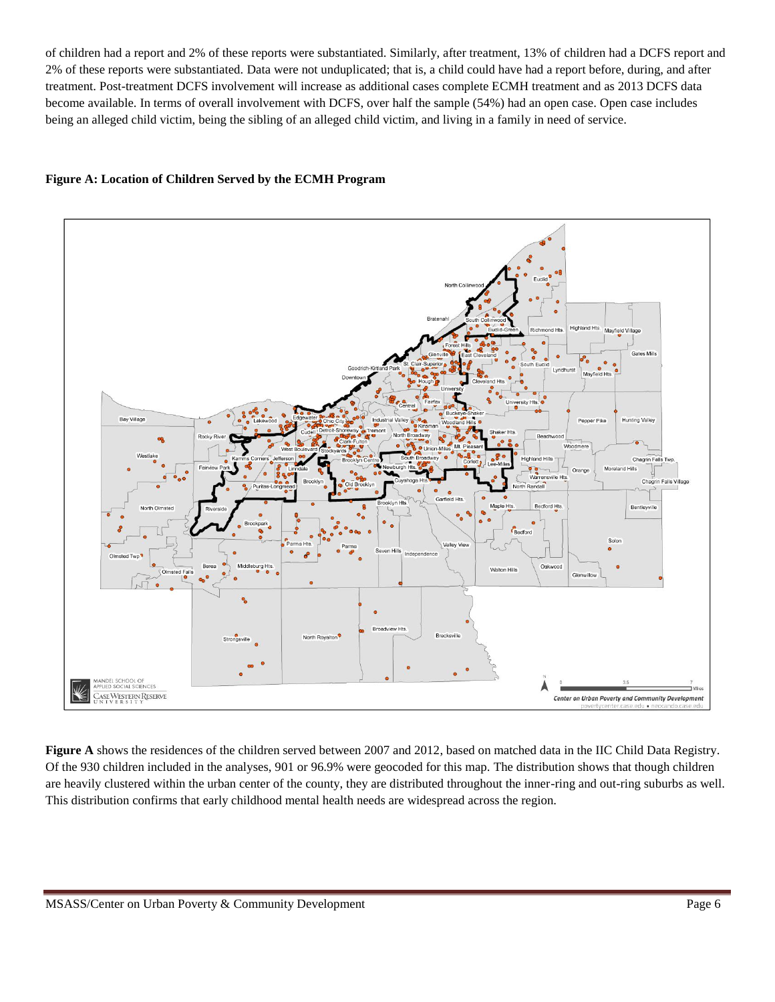of children had a report and 2% of these reports were substantiated. Similarly, after treatment, 13% of children had a DCFS report and 2% of these reports were substantiated. Data were not unduplicated; that is, a child could have had a report before, during, and after treatment. Post-treatment DCFS involvement will increase as additional cases complete ECMH treatment and as 2013 DCFS data become available. In terms of overall involvement with DCFS, over half the sample (54%) had an open case. Open case includes being an alleged child victim, being the sibling of an alleged child victim, and living in a family in need of service.

### **Figure A: Location of Children Served by the ECMH Program**



**Figure A** shows the residences of the children served between 2007 and 2012, based on matched data in the IIC Child Data Registry. Of the 930 children included in the analyses, 901 or 96.9% were geocoded for this map. The distribution shows that though children are heavily clustered within the urban center of the county, they are distributed throughout the inner-ring and out-ring suburbs as well. This distribution confirms that early childhood mental health needs are widespread across the region.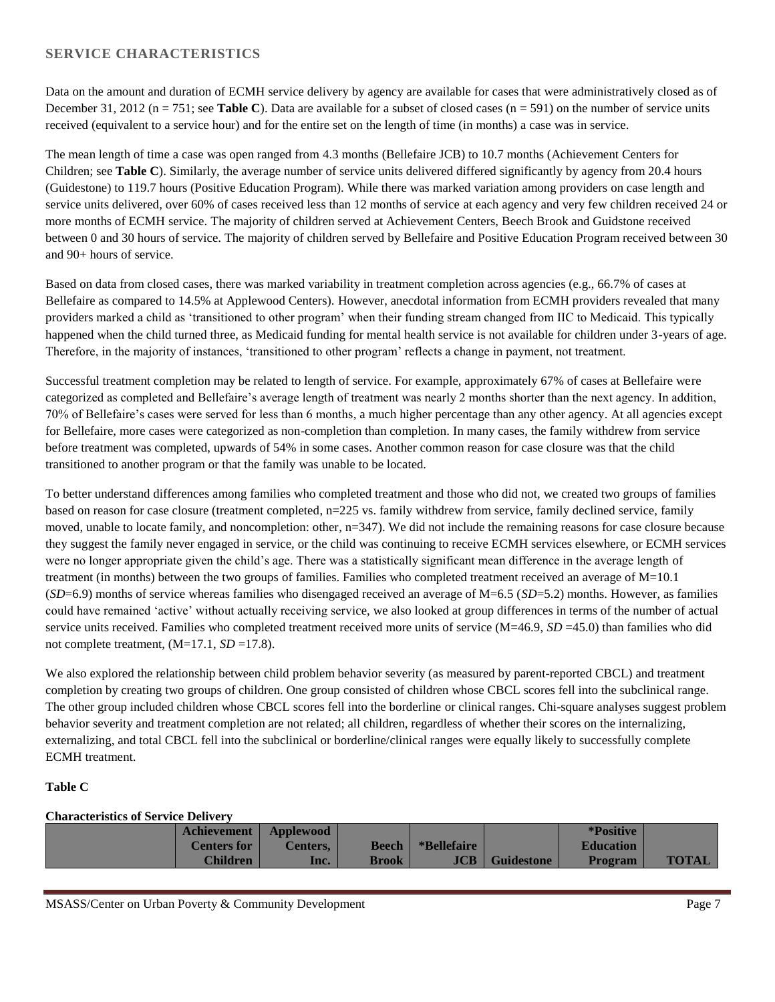### **SERVICE CHARACTERISTICS**

Data on the amount and duration of ECMH service delivery by agency are available for cases that were administratively closed as of December 31, 2012 ( $n = 751$ ; see **Table C**). Data are available for a subset of closed cases ( $n = 591$ ) on the number of service units received (equivalent to a service hour) and for the entire set on the length of time (in months) a case was in service.

The mean length of time a case was open ranged from 4.3 months (Bellefaire JCB) to 10.7 months (Achievement Centers for Children; see **Table C**). Similarly, the average number of service units delivered differed significantly by agency from 20.4 hours (Guidestone) to 119.7 hours (Positive Education Program). While there was marked variation among providers on case length and service units delivered, over 60% of cases received less than 12 months of service at each agency and very few children received 24 or more months of ECMH service. The majority of children served at Achievement Centers, Beech Brook and Guidstone received between 0 and 30 hours of service. The majority of children served by Bellefaire and Positive Education Program received between 30 and 90+ hours of service.

Based on data from closed cases, there was marked variability in treatment completion across agencies (e.g., 66.7% of cases at Bellefaire as compared to 14.5% at Applewood Centers). However, anecdotal information from ECMH providers revealed that many providers marked a child as 'transitioned to other program' when their funding stream changed from IIC to Medicaid. This typically happened when the child turned three, as Medicaid funding for mental health service is not available for children under 3-years of age. Therefore, in the majority of instances, 'transitioned to other program' reflects a change in payment, not treatment.

Successful treatment completion may be related to length of service. For example, approximately 67% of cases at Bellefaire were categorized as completed and Bellefaire's average length of treatment was nearly 2 months shorter than the next agency. In addition, 70% of Bellefaire's cases were served for less than 6 months, a much higher percentage than any other agency. At all agencies except for Bellefaire, more cases were categorized as non-completion than completion. In many cases, the family withdrew from service before treatment was completed, upwards of 54% in some cases. Another common reason for case closure was that the child transitioned to another program or that the family was unable to be located.

To better understand differences among families who completed treatment and those who did not, we created two groups of families based on reason for case closure (treatment completed, n=225 vs. family withdrew from service, family declined service, family moved, unable to locate family, and noncompletion: other, n=347). We did not include the remaining reasons for case closure because they suggest the family never engaged in service, or the child was continuing to receive ECMH services elsewhere, or ECMH services were no longer appropriate given the child's age. There was a statistically significant mean difference in the average length of treatment (in months) between the two groups of families. Families who completed treatment received an average of M=10.1 (*SD*=6.9) months of service whereas families who disengaged received an average of M=6.5 (*SD*=5.2) months. However, as families could have remained 'active' without actually receiving service, we also looked at group differences in terms of the number of actual service units received. Families who completed treatment received more units of service (M=46.9, *SD* =45.0) than families who did not complete treatment,  $(M=17.1, SD=17.8)$ .

We also explored the relationship between child problem behavior severity (as measured by parent-reported CBCL) and treatment completion by creating two groups of children. One group consisted of children whose CBCL scores fell into the subclinical range. The other group included children whose CBCL scores fell into the borderline or clinical ranges. Chi-square analyses suggest problem behavior severity and treatment completion are not related; all children, regardless of whether their scores on the internalizing, externalizing, and total CBCL fell into the subclinical or borderline/clinical ranges were equally likely to successfully complete ECMH treatment.

### **Table C**

| <b>Characteristics of Service Delivery</b> |                    |                  |              |             |                   |                  |              |
|--------------------------------------------|--------------------|------------------|--------------|-------------|-------------------|------------------|--------------|
|                                            | <b>Achievement</b> | <b>Applewood</b> |              |             |                   | *Positive        |              |
|                                            | <b>Centers for</b> | <b>Centers.</b>  | <b>Beech</b> | *Bellefaire |                   | <b>Education</b> |              |
|                                            | <b>Children</b>    | lnc.             | Brook        | JCB         | <b>Guidestone</b> | <b>Program</b>   | <b>TOTAL</b> |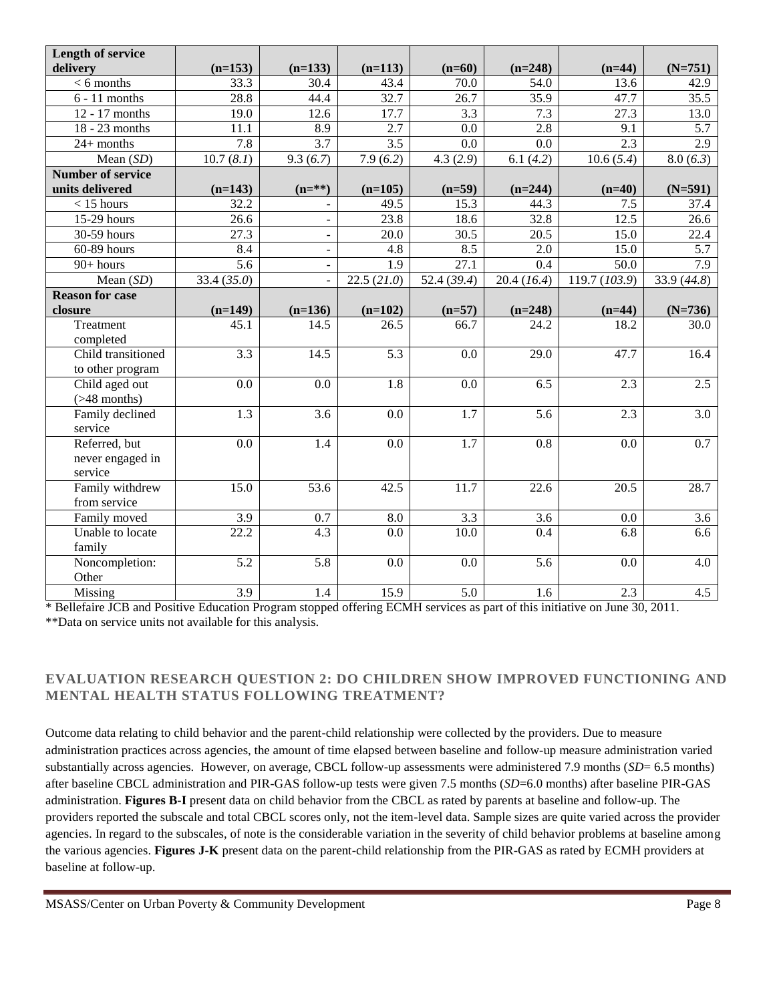| <b>Length of service</b> |                   |                  |                  |                   |                   |                         |             |
|--------------------------|-------------------|------------------|------------------|-------------------|-------------------|-------------------------|-------------|
| delivery                 | $(n=153)$         | $(n=133)$        | $(n=113)$        | $(n=60)$          | $(n=248)$         | $(n=44)$                | $(N=751)$   |
| $< 6$ months             | 33.3              | 30.4             | 43.4             | 70.0              | 54.0              | 13.6                    | 42.9        |
| $6 - 11$ months          | 28.8              | 44.4             | 32.7             | 26.7              | 35.9              | 47.7                    | 35.5        |
| 12 - 17 months           | 19.0              | 12.6             | 17.7             | 3.3               | 7.3               | 27.3                    | 13.0        |
| 18 - 23 months           | 11.1              | 8.9              | 2.7              | 0.0               | 2.8               | 9.1                     | 5.7         |
| $24+$ months             | 7.8               | 3.7              | 3.5              | 0.0               | 0.0               | 2.3                     | 2.9         |
| Mean $(SD)$              | 10.7(8.1)         | 9.3(6.7)         | 7.9(6.2)         | 4.3(2.9)          | 6.1(4.2)          | $\overline{10.6}$ (5.4) | 8.0(6.3)    |
| <b>Number of service</b> |                   |                  |                  |                   |                   |                         |             |
| units delivered          | $(n=143)$         | $(n = **)$       | $(n=105)$        | $(n=59)$          | $(n=244)$         | $(n=40)$                | $(N=591)$   |
| $<$ 15 hours             | 32.2              |                  | 49.5             | 15.3              | 44.3              | 7.5                     | 37.4        |
| 15-29 hours              | 26.6              |                  | 23.8             | 18.6              | $\overline{32.8}$ | 12.5                    | 26.6        |
| 30-59 hours              | 27.3              |                  | 20.0             | 30.5              | 20.5              | 15.0                    | 22.4        |
| 60-89 hours              | 8.4               |                  | 4.8              | 8.5               | 2.0               | 15.0                    | 5.7         |
| 90+ hours                | $\overline{5.6}$  |                  | 1.9              | 27.1              | 0.4               | 50.0                    | 7.9         |
| Mean $(SD)$              | 33.4 (35.0)       |                  | 22.5(21.0)       | 52.4(39.4)        | 20.4(16.4)        | 119.7 (103.9)           | 33.9 (44.8) |
| <b>Reason for case</b>   |                   |                  |                  |                   |                   |                         |             |
| closure                  | $(n=149)$         | $(n=136)$        | $(n=102)$        | $(n=57)$          | $(n=248)$         | $(n=44)$                | $(N=736)$   |
| Treatment                | 45.1              | 14.5             | 26.5             | 66.7              | 24.2              | 18.2                    | 30.0        |
| completed                |                   |                  |                  |                   |                   |                         |             |
| Child transitioned       | 3.3               | 14.5             | $\overline{5.3}$ | $\overline{0.0}$  | $\overline{29.0}$ | 47.7                    | 16.4        |
| to other program         |                   |                  |                  |                   |                   |                         |             |
| Child aged out           | $\overline{0.0}$  | $\overline{0.0}$ | $\overline{1.8}$ | 0.0               | 6.5               | 2.3                     | 2.5         |
| $($ >48 months)          |                   |                  |                  |                   |                   |                         |             |
| Family declined          | 1.3               | 3.6              | 0.0              | $\overline{1.7}$  | 5.6               | 2.3                     | 3.0         |
| service                  |                   |                  |                  |                   |                   |                         |             |
| Referred, but            | $\overline{0.0}$  | 1.4              | 0.0              | $\overline{1.7}$  | $\overline{0.8}$  | 0.0                     | 0.7         |
| never engaged in         |                   |                  |                  |                   |                   |                         |             |
| service                  |                   |                  |                  |                   |                   |                         |             |
| Family withdrew          | 15.0              | 53.6             | 42.5             | $\overline{11.7}$ | 22.6              | $\overline{20.5}$       | 28.7        |
| from service             |                   |                  |                  |                   |                   |                         |             |
| Family moved             | 3.9               | 0.7              | 8.0              | $\overline{3.3}$  | 3.6               | 0.0                     | 3.6         |
| Unable to locate         | $\overline{22.2}$ | $\overline{4.3}$ | 0.0              | 10.0              | 0.4               | 6.8                     | 6.6         |
| family                   |                   |                  |                  |                   |                   |                         |             |
| Noncompletion:           | $\overline{5.2}$  | $\overline{5.8}$ | 0.0              | 0.0               | $\overline{5.6}$  | 0.0                     | 4.0         |
| Other                    |                   |                  |                  |                   |                   |                         |             |
| Missing                  | 3.9               | 1.4              | 15.9             | 5.0               | $\overline{1.6}$  | 2.3                     | 4.5         |

\* Bellefaire JCB and Positive Education Program stopped offering ECMH services as part of this initiative on June 30, 2011. \*\*Data on service units not available for this analysis.

### **EVALUATION RESEARCH QUESTION 2: DO CHILDREN SHOW IMPROVED FUNCTIONING AND MENTAL HEALTH STATUS FOLLOWING TREATMENT?**

Outcome data relating to child behavior and the parent-child relationship were collected by the providers. Due to measure administration practices across agencies, the amount of time elapsed between baseline and follow-up measure administration varied substantially across agencies. However, on average, CBCL follow-up assessments were administered 7.9 months (*SD*= 6.5 months) after baseline CBCL administration and PIR-GAS follow-up tests were given 7.5 months (*SD*=6.0 months) after baseline PIR-GAS administration. **Figures B-I** present data on child behavior from the CBCL as rated by parents at baseline and follow-up. The providers reported the subscale and total CBCL scores only, not the item-level data. Sample sizes are quite varied across the provider agencies. In regard to the subscales, of note is the considerable variation in the severity of child behavior problems at baseline among the various agencies. **Figures J-K** present data on the parent-child relationship from the PIR-GAS as rated by ECMH providers at baseline at follow-up.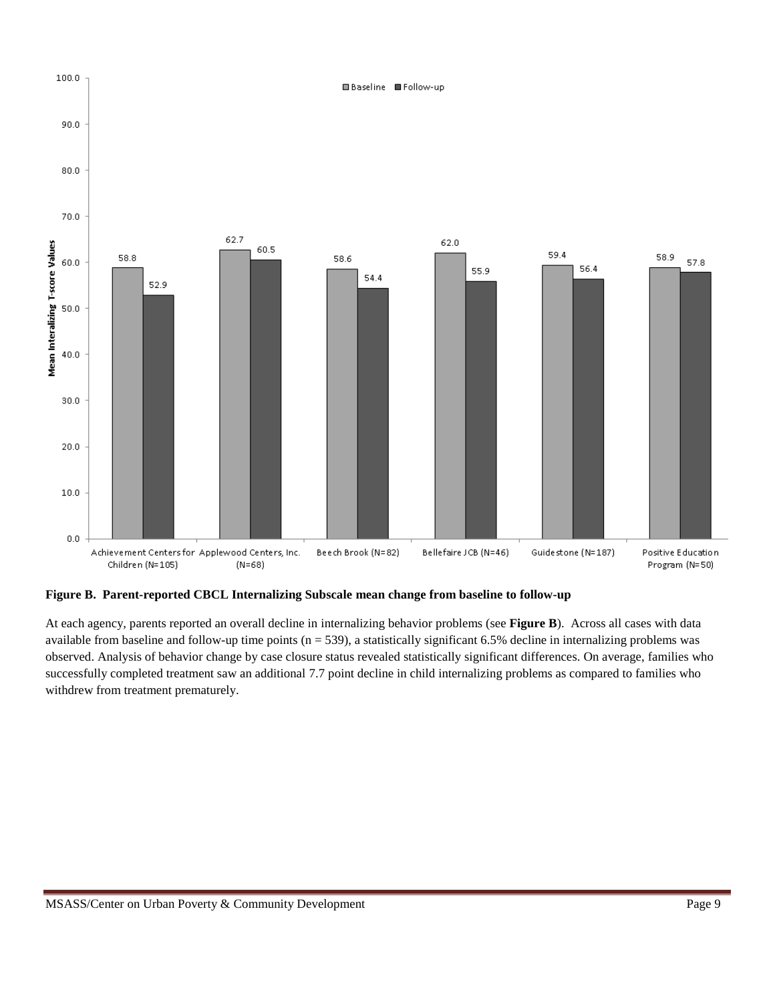

**Figure B. Parent-reported CBCL Internalizing Subscale mean change from baseline to follow-up** 

At each agency, parents reported an overall decline in internalizing behavior problems (see **Figure B**). Across all cases with data available from baseline and follow-up time points  $(n = 539)$ , a statistically significant 6.5% decline in internalizing problems was observed. Analysis of behavior change by case closure status revealed statistically significant differences. On average, families who successfully completed treatment saw an additional 7.7 point decline in child internalizing problems as compared to families who withdrew from treatment prematurely.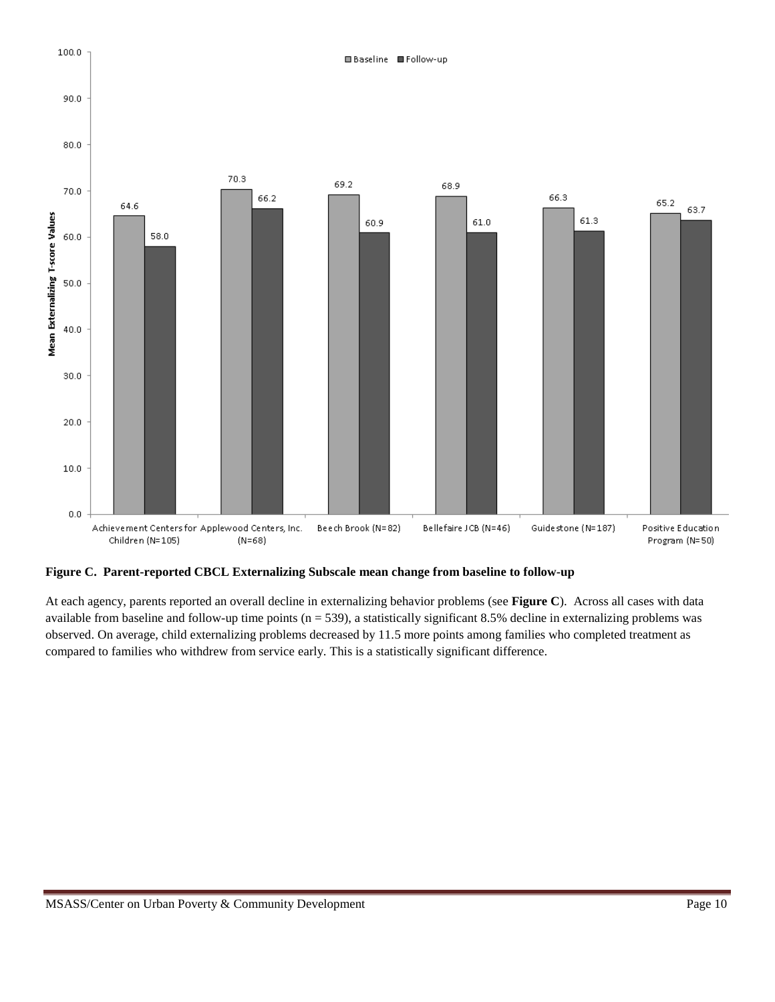

**Figure C. Parent-reported CBCL Externalizing Subscale mean change from baseline to follow-up**

At each agency, parents reported an overall decline in externalizing behavior problems (see **Figure C**). Across all cases with data available from baseline and follow-up time points  $(n = 539)$ , a statistically significant 8.5% decline in externalizing problems was observed. On average, child externalizing problems decreased by 11.5 more points among families who completed treatment as compared to families who withdrew from service early. This is a statistically significant difference.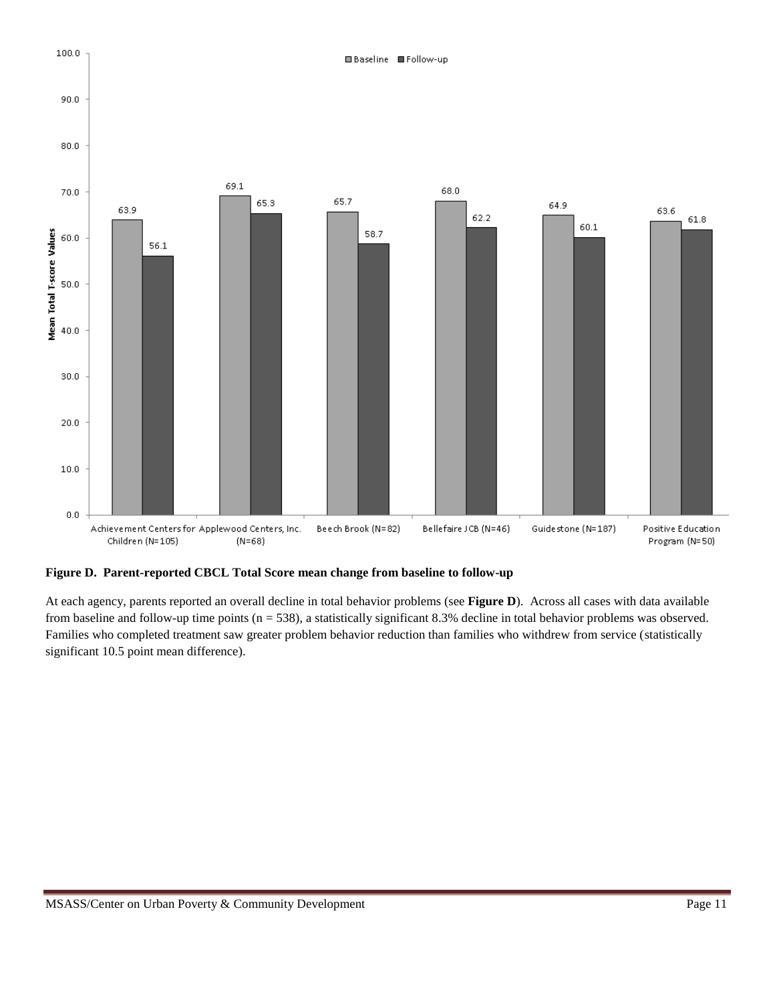

**Figure D. Parent-reported CBCL Total Score mean change from baseline to follow-up**

At each agency, parents reported an overall decline in total behavior problems (see **Figure D**). Across all cases with data available from baseline and follow-up time points (n = 538), a statistically significant 8.3% decline in total behavior problems was observed. Families who completed treatment saw greater problem behavior reduction than families who withdrew from service (statistically significant 10.5 point mean difference).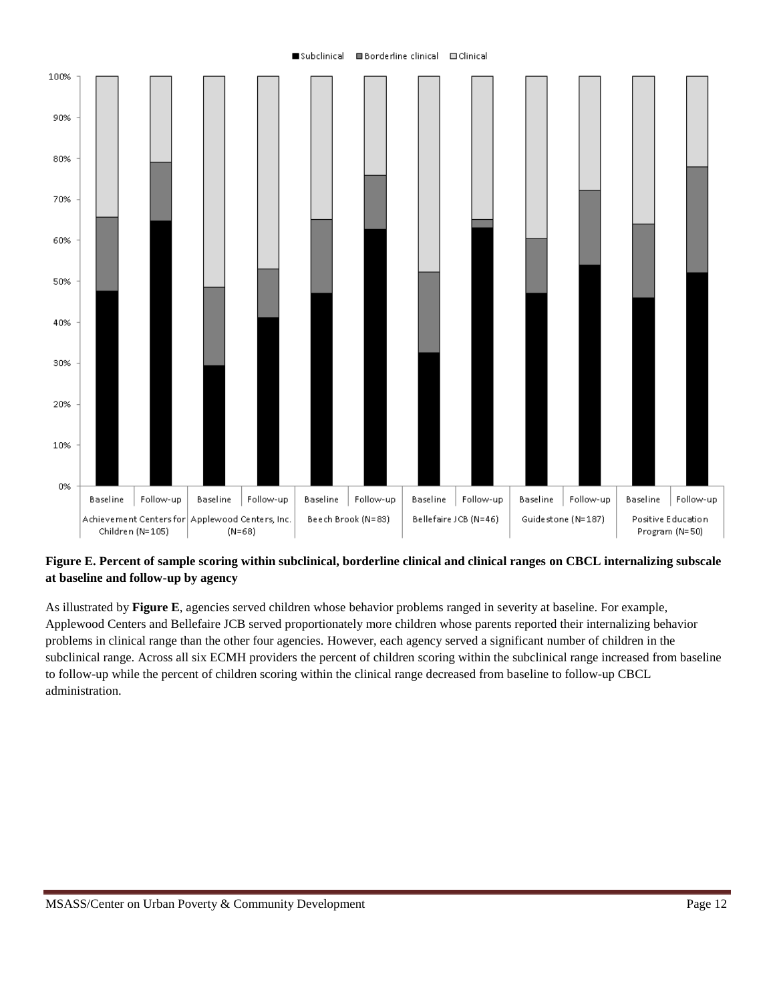#### subclinical ■Borderline clinical ■Clinical



### **Figure E. Percent of sample scoring within subclinical, borderline clinical and clinical ranges on CBCL internalizing subscale at baseline and follow-up by agency**

As illustrated by **Figure E**, agencies served children whose behavior problems ranged in severity at baseline. For example, Applewood Centers and Bellefaire JCB served proportionately more children whose parents reported their internalizing behavior problems in clinical range than the other four agencies. However, each agency served a significant number of children in the subclinical range. Across all six ECMH providers the percent of children scoring within the subclinical range increased from baseline to follow-up while the percent of children scoring within the clinical range decreased from baseline to follow-up CBCL administration.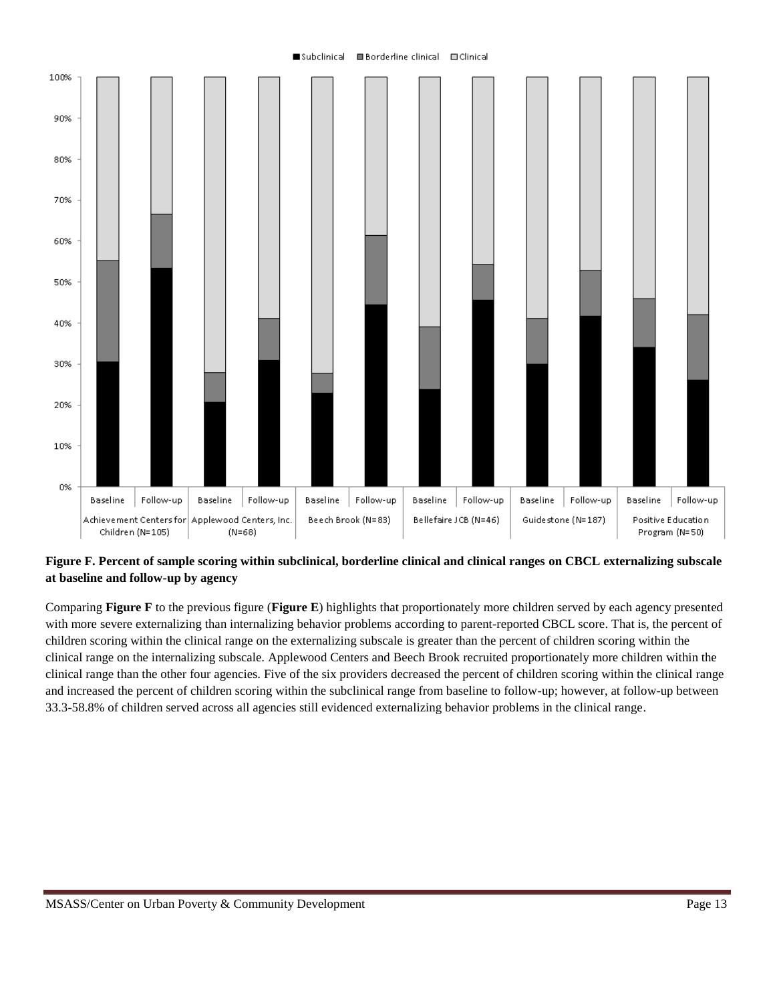#### ■Borderline clinical ■Clinical subclinical



### **Figure F. Percent of sample scoring within subclinical, borderline clinical and clinical ranges on CBCL externalizing subscale at baseline and follow-up by agency**

Comparing **Figure F** to the previous figure (**Figure E**) highlights that proportionately more children served by each agency presented with more severe externalizing than internalizing behavior problems according to parent-reported CBCL score. That is, the percent of children scoring within the clinical range on the externalizing subscale is greater than the percent of children scoring within the clinical range on the internalizing subscale. Applewood Centers and Beech Brook recruited proportionately more children within the clinical range than the other four agencies. Five of the six providers decreased the percent of children scoring within the clinical range and increased the percent of children scoring within the subclinical range from baseline to follow-up; however, at follow-up between 33.3-58.8% of children served across all agencies still evidenced externalizing behavior problems in the clinical range.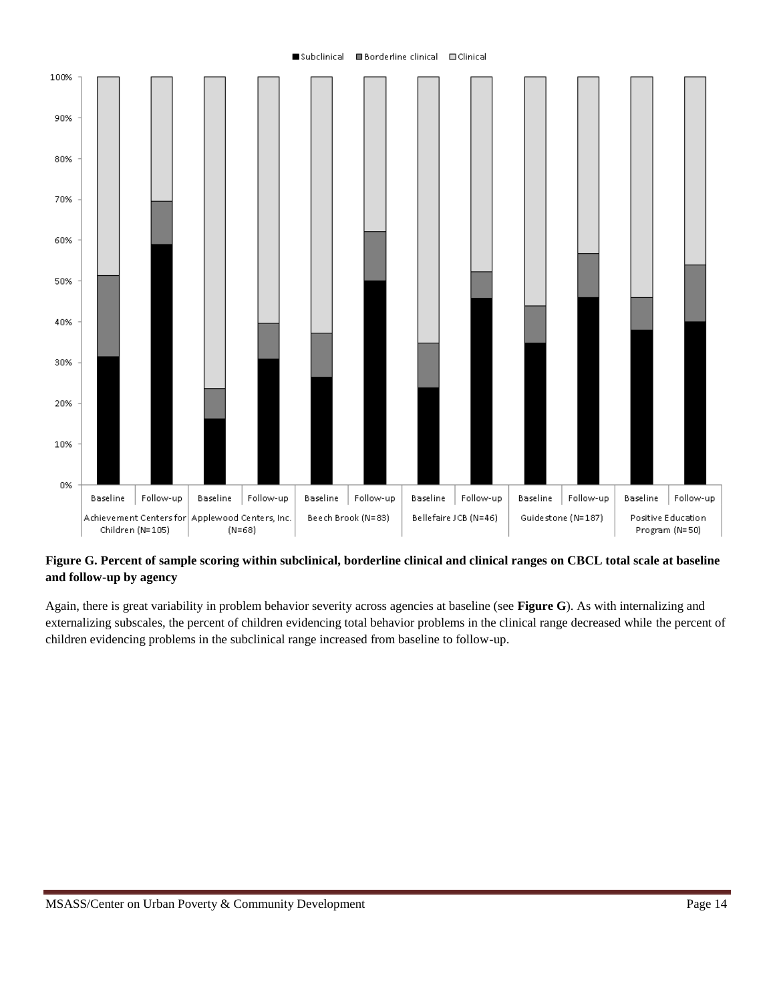### ■Subclinical ■Borderline clinical ■Clinical



### **Figure G. Percent of sample scoring within subclinical, borderline clinical and clinical ranges on CBCL total scale at baseline and follow-up by agency**

Again, there is great variability in problem behavior severity across agencies at baseline (see **Figure G**). As with internalizing and externalizing subscales, the percent of children evidencing total behavior problems in the clinical range decreased while the percent of children evidencing problems in the subclinical range increased from baseline to follow-up.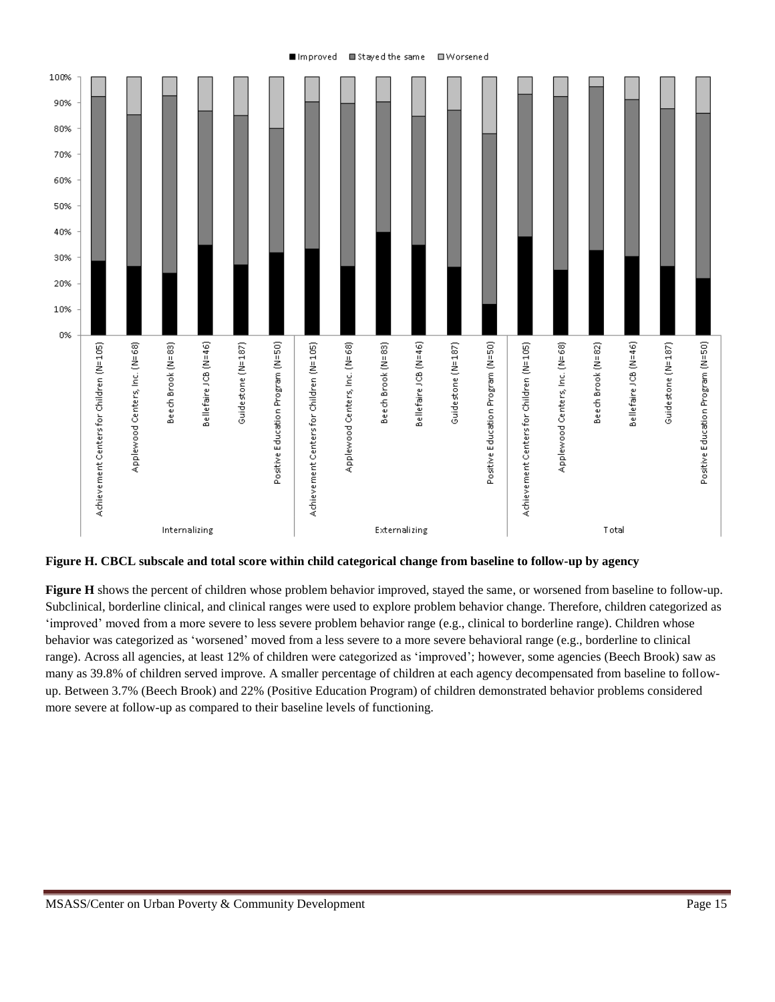

**Figure H. CBCL subscale and total score within child categorical change from baseline to follow-up by agency**

**Figure H** shows the percent of children whose problem behavior improved, stayed the same, or worsened from baseline to follow-up. Subclinical, borderline clinical, and clinical ranges were used to explore problem behavior change. Therefore, children categorized as 'improved' moved from a more severe to less severe problem behavior range (e.g., clinical to borderline range). Children whose behavior was categorized as 'worsened' moved from a less severe to a more severe behavioral range (e.g., borderline to clinical range). Across all agencies, at least 12% of children were categorized as 'improved'; however, some agencies (Beech Brook) saw as many as 39.8% of children served improve. A smaller percentage of children at each agency decompensated from baseline to followup. Between 3.7% (Beech Brook) and 22% (Positive Education Program) of children demonstrated behavior problems considered more severe at follow-up as compared to their baseline levels of functioning.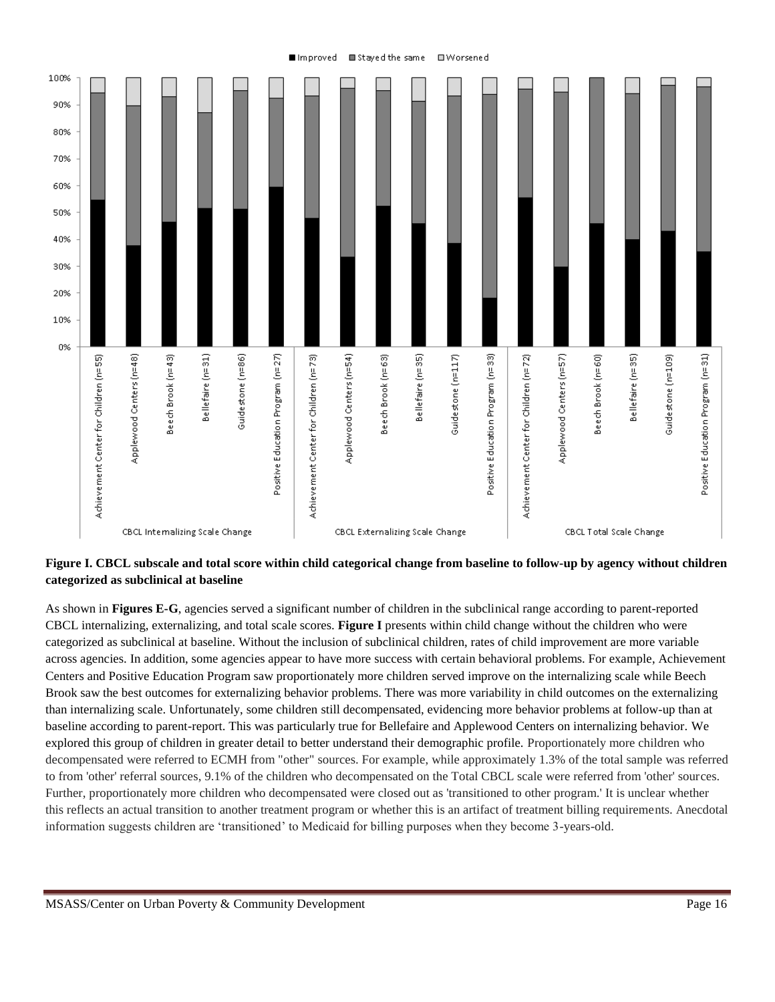

**Figure I. CBCL subscale and total score within child categorical change from baseline to follow-up by agency without children categorized as subclinical at baseline**

As shown in **Figures E-G**, agencies served a significant number of children in the subclinical range according to parent-reported CBCL internalizing, externalizing, and total scale scores. **Figure I** presents within child change without the children who were categorized as subclinical at baseline. Without the inclusion of subclinical children, rates of child improvement are more variable across agencies. In addition, some agencies appear to have more success with certain behavioral problems. For example, Achievement Centers and Positive Education Program saw proportionately more children served improve on the internalizing scale while Beech Brook saw the best outcomes for externalizing behavior problems. There was more variability in child outcomes on the externalizing than internalizing scale. Unfortunately, some children still decompensated, evidencing more behavior problems at follow-up than at baseline according to parent-report. This was particularly true for Bellefaire and Applewood Centers on internalizing behavior. We explored this group of children in greater detail to better understand their demographic profile. Proportionately more children who decompensated were referred to ECMH from "other" sources. For example, while approximately 1.3% of the total sample was referred to from 'other' referral sources, 9.1% of the children who decompensated on the Total CBCL scale were referred from 'other' sources. Further, proportionately more children who decompensated were closed out as 'transitioned to other program.' It is unclear whether this reflects an actual transition to another treatment program or whether this is an artifact of treatment billing requirements. Anecdotal information suggests children are 'transitioned' to Medicaid for billing purposes when they become 3-years-old.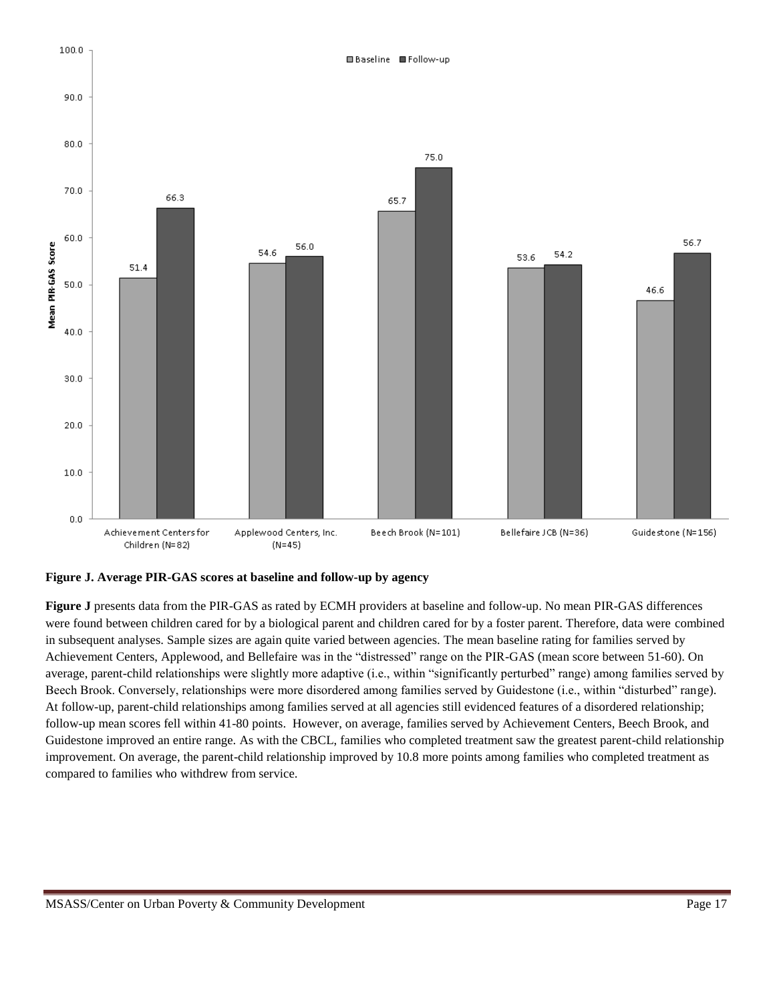

**Figure J. Average PIR-GAS scores at baseline and follow-up by agency**

**Figure J** presents data from the PIR-GAS as rated by ECMH providers at baseline and follow-up. No mean PIR-GAS differences were found between children cared for by a biological parent and children cared for by a foster parent. Therefore, data were combined in subsequent analyses. Sample sizes are again quite varied between agencies. The mean baseline rating for families served by Achievement Centers, Applewood, and Bellefaire was in the "distressed" range on the PIR-GAS (mean score between 51-60). On average, parent-child relationships were slightly more adaptive (i.e., within "significantly perturbed" range) among families served by Beech Brook. Conversely, relationships were more disordered among families served by Guidestone (i.e., within "disturbed" range). At follow-up, parent-child relationships among families served at all agencies still evidenced features of a disordered relationship; follow-up mean scores fell within 41-80 points. However, on average, families served by Achievement Centers, Beech Brook, and Guidestone improved an entire range. As with the CBCL, families who completed treatment saw the greatest parent-child relationship improvement. On average, the parent-child relationship improved by 10.8 more points among families who completed treatment as compared to families who withdrew from service.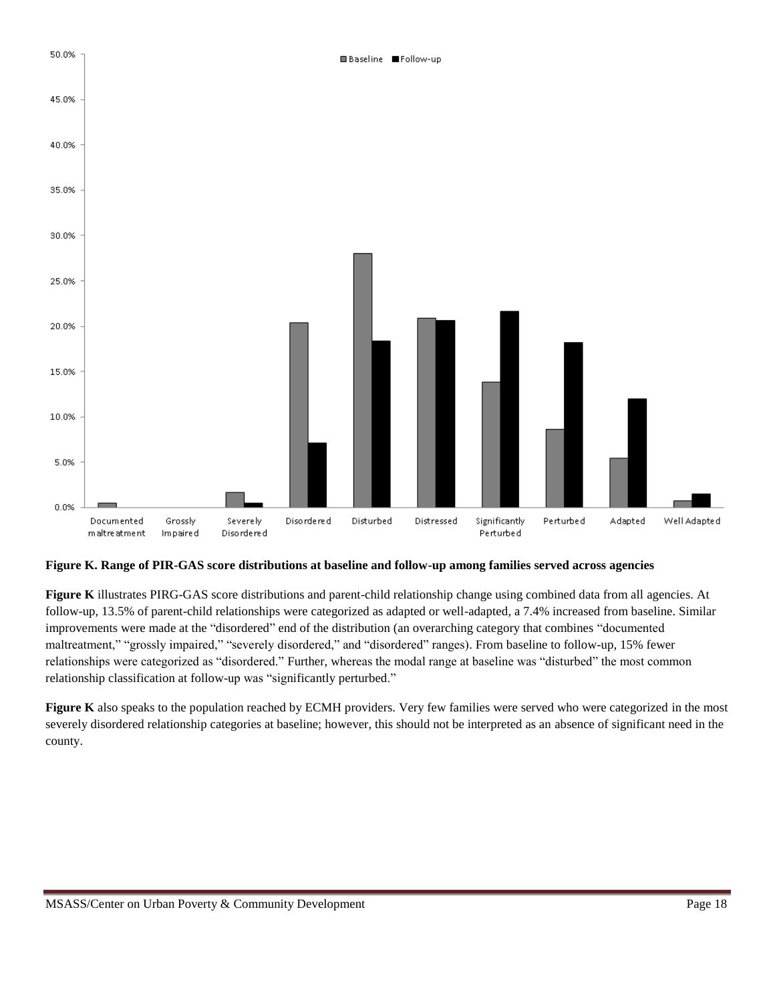

**Figure K. Range of PIR-GAS score distributions at baseline and follow-up among families served across agencies**

**Figure K** illustrates PIRG-GAS score distributions and parent-child relationship change using combined data from all agencies. At follow-up, 13.5% of parent-child relationships were categorized as adapted or well-adapted, a 7.4% increased from baseline. Similar improvements were made at the "disordered" end of the distribution (an overarching category that combines "documented maltreatment," "grossly impaired," "severely disordered," and "disordered" ranges). From baseline to follow-up, 15% fewer relationships were categorized as "disordered." Further, whereas the modal range at baseline was "disturbed" the most common relationship classification at follow-up was "significantly perturbed."

Figure K also speaks to the population reached by ECMH providers. Very few families were served who were categorized in the most severely disordered relationship categories at baseline; however, this should not be interpreted as an absence of significant need in the county.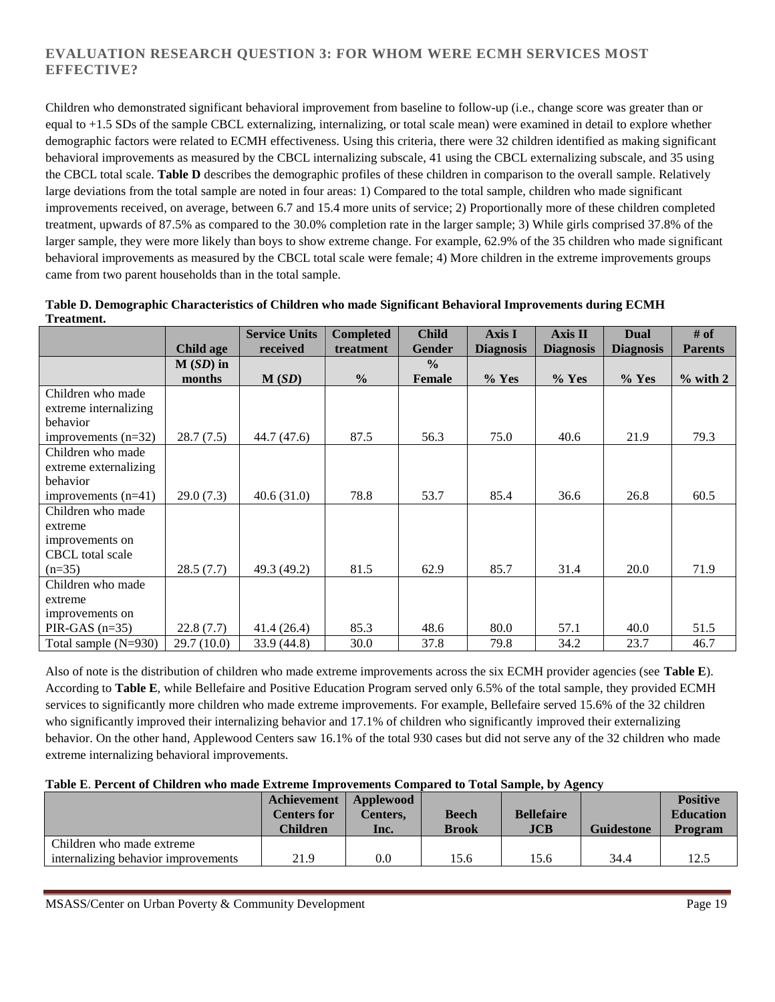### **EVALUATION RESEARCH QUESTION 3: FOR WHOM WERE ECMH SERVICES MOST EFFECTIVE?**

Children who demonstrated significant behavioral improvement from baseline to follow-up (i.e., change score was greater than or equal to +1.5 SDs of the sample CBCL externalizing, internalizing, or total scale mean) were examined in detail to explore whether demographic factors were related to ECMH effectiveness. Using this criteria, there were 32 children identified as making significant behavioral improvements as measured by the CBCL internalizing subscale, 41 using the CBCL externalizing subscale, and 35 using the CBCL total scale. **Table D** describes the demographic profiles of these children in comparison to the overall sample. Relatively large deviations from the total sample are noted in four areas: 1) Compared to the total sample, children who made significant improvements received, on average, between 6.7 and 15.4 more units of service; 2) Proportionally more of these children completed treatment, upwards of 87.5% as compared to the 30.0% completion rate in the larger sample; 3) While girls comprised 37.8% of the larger sample, they were more likely than boys to show extreme change. For example, 62.9% of the 35 children who made significant behavioral improvements as measured by the CBCL total scale were female; 4) More children in the extreme improvements groups came from two parent households than in the total sample.

| 11 cauncill.           |            |                      |                  |               |                  |                  |                  |                |
|------------------------|------------|----------------------|------------------|---------------|------------------|------------------|------------------|----------------|
|                        |            | <b>Service Units</b> | <b>Completed</b> | <b>Child</b>  | Axis I           | $Axi$ sis II     | <b>Dual</b>      | # of           |
|                        | Child age  | received             | treatment        | <b>Gender</b> | <b>Diagnosis</b> | <b>Diagnosis</b> | <b>Diagnosis</b> | <b>Parents</b> |
|                        | $M(SD)$ in |                      |                  | $\frac{0}{0}$ |                  |                  |                  |                |
|                        | months     | M(SD)                | $\frac{0}{0}$    | Female        | $%$ Yes          | $%$ Yes          | $%$ Yes          | $\%$ with 2    |
| Children who made      |            |                      |                  |               |                  |                  |                  |                |
| extreme internalizing  |            |                      |                  |               |                  |                  |                  |                |
| behavior               |            |                      |                  |               |                  |                  |                  |                |
| improvements $(n=32)$  | 28.7(7.5)  | 44.7 (47.6)          | 87.5             | 56.3          | 75.0             | 40.6             | 21.9             | 79.3           |
| Children who made      |            |                      |                  |               |                  |                  |                  |                |
| extreme externalizing  |            |                      |                  |               |                  |                  |                  |                |
| behavior               |            |                      |                  |               |                  |                  |                  |                |
| improvements $(n=41)$  | 29.0(7.3)  | 40.6(31.0)           | 78.8             | 53.7          | 85.4             | 36.6             | 26.8             | 60.5           |
| Children who made      |            |                      |                  |               |                  |                  |                  |                |
| extreme                |            |                      |                  |               |                  |                  |                  |                |
| improvements on        |            |                      |                  |               |                  |                  |                  |                |
| CBCL total scale       |            |                      |                  |               |                  |                  |                  |                |
| $(n=35)$               | 28.5(7.7)  | 49.3 (49.2)          | 81.5             | 62.9          | 85.7             | 31.4             | 20.0             | 71.9           |
| Children who made      |            |                      |                  |               |                  |                  |                  |                |
| extreme                |            |                      |                  |               |                  |                  |                  |                |
| improvements on        |            |                      |                  |               |                  |                  |                  |                |
| PIR-GAS $(n=35)$       | 22.8(7.7)  | 41.4(26.4)           | 85.3             | 48.6          | 80.0             | 57.1             | 40.0             | 51.5           |
| Total sample $(N=930)$ | 29.7(10.0) | 33.9(44.8)           | 30.0             | 37.8          | 79.8             | 34.2             | 23.7             | 46.7           |

| Table D. Demographic Characteristics of Children who made Significant Behavioral Improvements during ECMH |  |  |  |  |
|-----------------------------------------------------------------------------------------------------------|--|--|--|--|
| Treatment.                                                                                                |  |  |  |  |

Also of note is the distribution of children who made extreme improvements across the six ECMH provider agencies (see **Table E**). According to **Table E**, while Bellefaire and Positive Education Program served only 6.5% of the total sample, they provided ECMH services to significantly more children who made extreme improvements. For example, Bellefaire served 15.6% of the 32 children who significantly improved their internalizing behavior and 17.1% of children who significantly improved their externalizing behavior. On the other hand, Applewood Centers saw 16.1% of the total 930 cases but did not serve any of the 32 children who made extreme internalizing behavioral improvements.

### **Table E**. **Percent of Children who made Extreme Improvements Compared to Total Sample, by Agency**

|                                     | Achievement<br><b>Centers for</b><br>Children | Applewood<br><b>Centers.</b><br>Inc. | <b>Beech</b><br><b>Brook</b> | <b>Bellefaire</b><br>JCB | <b>Guidestone</b> | <b>Positive</b><br><b>Education</b><br>Program |
|-------------------------------------|-----------------------------------------------|--------------------------------------|------------------------------|--------------------------|-------------------|------------------------------------------------|
| Children who made extreme           |                                               |                                      |                              |                          |                   |                                                |
| internalizing behavior improvements | 21.9                                          | $0.0\,$                              | 15.6                         | 5.6                      | 34.4              | 12.5                                           |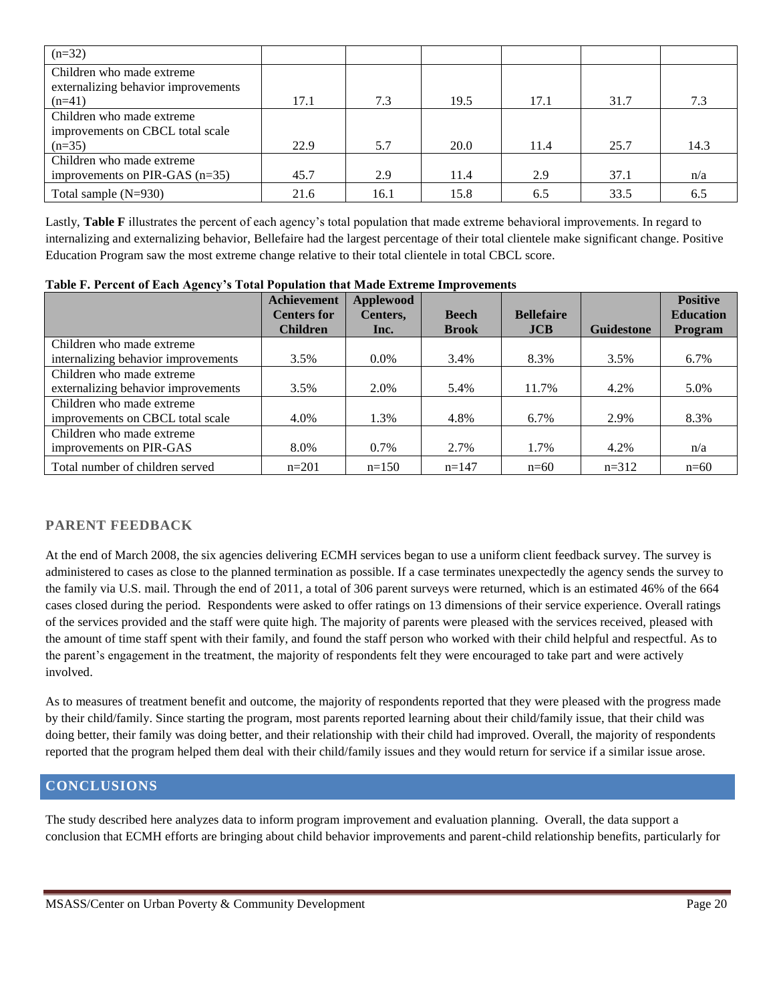| $(n=32)$                                                         |      |      |      |      |      |      |
|------------------------------------------------------------------|------|------|------|------|------|------|
| Children who made extreme<br>externalizing behavior improvements |      |      |      |      |      |      |
| $(n=41)$                                                         | 17.1 | 7.3  | 19.5 | 17.1 | 31.7 | 7.3  |
| Children who made extreme                                        |      |      |      |      |      |      |
| improvements on CBCL total scale                                 |      |      |      |      |      |      |
| $(n=35)$                                                         | 22.9 | 5.7  | 20.0 | 11.4 | 25.7 | 14.3 |
| Children who made extreme                                        |      |      |      |      |      |      |
| improvements on PIR-GAS $(n=35)$                                 | 45.7 | 2.9  | 11.4 | 2.9  | 37.1 | n/a  |
| Total sample $(N=930)$                                           | 21.6 | 16.1 | 15.8 | 6.5  | 33.5 | 6.5  |

Lastly, **Table F** illustrates the percent of each agency's total population that made extreme behavioral improvements. In regard to internalizing and externalizing behavior, Bellefaire had the largest percentage of their total clientele make significant change. Positive Education Program saw the most extreme change relative to their total clientele in total CBCL score.

|                                     | <b>Achievement</b> | <b>Applewood</b> |              |                   |                   | <b>Positive</b>  |
|-------------------------------------|--------------------|------------------|--------------|-------------------|-------------------|------------------|
|                                     | <b>Centers for</b> | Centers,         | <b>Beech</b> | <b>Bellefaire</b> |                   | <b>Education</b> |
|                                     | <b>Children</b>    | Inc.             | <b>Brook</b> | <b>JCB</b>        | <b>Guidestone</b> | <b>Program</b>   |
| Children who made extreme           |                    |                  |              |                   |                   |                  |
| internalizing behavior improvements | 3.5%               | $0.0\%$          | 3.4%         | 8.3%              | 3.5%              | 6.7%             |
| Children who made extreme           |                    |                  |              |                   |                   |                  |
| externalizing behavior improvements | 3.5%               | 2.0%             | 5.4%         | 11.7%             | 4.2%              | 5.0%             |
| Children who made extreme           |                    |                  |              |                   |                   |                  |
| improvements on CBCL total scale    | 4.0%               | 1.3%             | 4.8%         | 6.7%              | 2.9%              | 8.3%             |
| Children who made extreme           |                    |                  |              |                   |                   |                  |
| improvements on PIR-GAS             | 8.0%               | $0.7\%$          | 2.7%         | 1.7%              | 4.2%              | n/a              |
| Total number of children served     | $n=201$            | $n=150$          | $n=147$      | $n=60$            | $n=312$           | $n=60$           |

**Table F. Percent of Each Agency's Total Population that Made Extreme Improvements**

## **PARENT FEEDBACK**

At the end of March 2008, the six agencies delivering ECMH services began to use a uniform client feedback survey. The survey is administered to cases as close to the planned termination as possible. If a case terminates unexpectedly the agency sends the survey to the family via U.S. mail. Through the end of 2011, a total of 306 parent surveys were returned, which is an estimated 46% of the 664 cases closed during the period. Respondents were asked to offer ratings on 13 dimensions of their service experience. Overall ratings of the services provided and the staff were quite high. The majority of parents were pleased with the services received, pleased with the amount of time staff spent with their family, and found the staff person who worked with their child helpful and respectful. As to the parent's engagement in the treatment, the majority of respondents felt they were encouraged to take part and were actively involved.

As to measures of treatment benefit and outcome, the majority of respondents reported that they were pleased with the progress made by their child/family. Since starting the program, most parents reported learning about their child/family issue, that their child was doing better, their family was doing better, and their relationship with their child had improved. Overall, the majority of respondents reported that the program helped them deal with their child/family issues and they would return for service if a similar issue arose.

## **CONCLUSIONS**

The study described here analyzes data to inform program improvement and evaluation planning. Overall, the data support a conclusion that ECMH efforts are bringing about child behavior improvements and parent-child relationship benefits, particularly for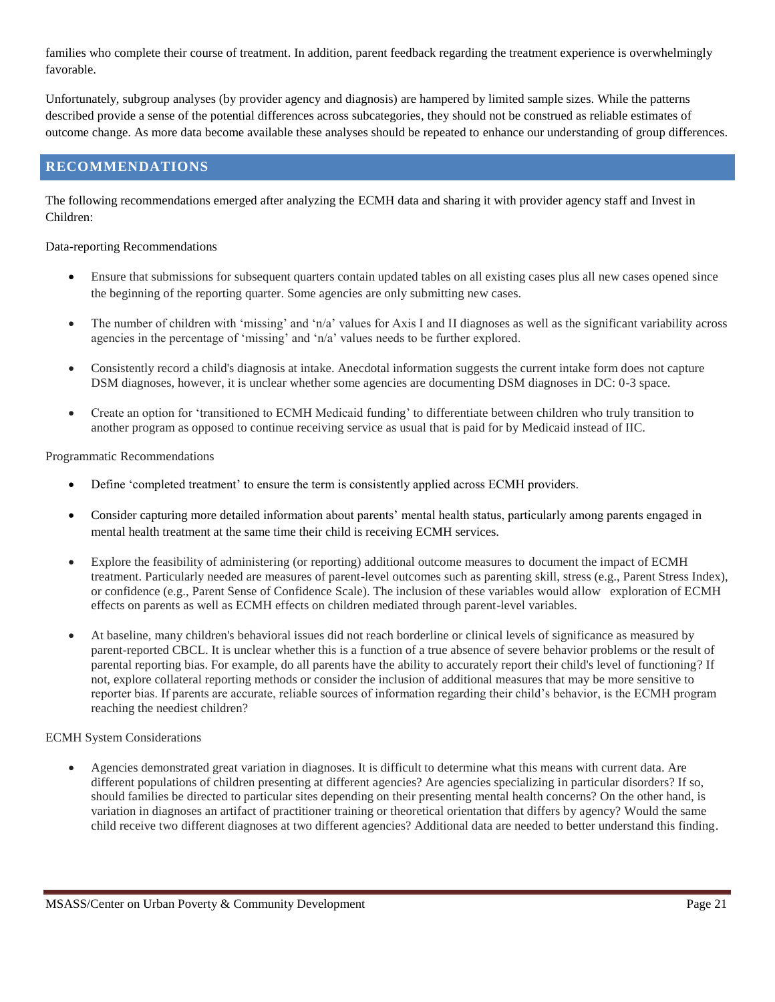families who complete their course of treatment. In addition, parent feedback regarding the treatment experience is overwhelmingly favorable.

Unfortunately, subgroup analyses (by provider agency and diagnosis) are hampered by limited sample sizes. While the patterns described provide a sense of the potential differences across subcategories, they should not be construed as reliable estimates of outcome change. As more data become available these analyses should be repeated to enhance our understanding of group differences.

### **RECOMMENDATIONS**

The following recommendations emerged after analyzing the ECMH data and sharing it with provider agency staff and Invest in Children:

Data-reporting Recommendations

- Ensure that submissions for subsequent quarters contain updated tables on all existing cases plus all new cases opened since the beginning of the reporting quarter. Some agencies are only submitting new cases.
- The number of children with 'missing' and 'n/a' values for Axis I and II diagnoses as well as the significant variability across agencies in the percentage of 'missing' and 'n/a' values needs to be further explored.
- Consistently record a child's diagnosis at intake. Anecdotal information suggests the current intake form does not capture DSM diagnoses, however, it is unclear whether some agencies are documenting DSM diagnoses in DC: 0-3 space.
- Create an option for 'transitioned to ECMH Medicaid funding' to differentiate between children who truly transition to another program as opposed to continue receiving service as usual that is paid for by Medicaid instead of IIC.

Programmatic Recommendations

- Define 'completed treatment' to ensure the term is consistently applied across ECMH providers.
- Consider capturing more detailed information about parents' mental health status, particularly among parents engaged in mental health treatment at the same time their child is receiving ECMH services.
- Explore the feasibility of administering (or reporting) additional outcome measures to document the impact of ECMH treatment. Particularly needed are measures of parent-level outcomes such as parenting skill, stress (e.g., Parent Stress Index), or confidence (e.g., Parent Sense of Confidence Scale). The inclusion of these variables would allow exploration of ECMH effects on parents as well as ECMH effects on children mediated through parent-level variables.
- At baseline, many children's behavioral issues did not reach borderline or clinical levels of significance as measured by parent-reported CBCL. It is unclear whether this is a function of a true absence of severe behavior problems or the result of parental reporting bias. For example, do all parents have the ability to accurately report their child's level of functioning? If not, explore collateral reporting methods or consider the inclusion of additional measures that may be more sensitive to reporter bias. If parents are accurate, reliable sources of information regarding their child's behavior, is the ECMH program reaching the neediest children?

### ECMH System Considerations

 Agencies demonstrated great variation in diagnoses. It is difficult to determine what this means with current data. Are different populations of children presenting at different agencies? Are agencies specializing in particular disorders? If so, should families be directed to particular sites depending on their presenting mental health concerns? On the other hand, is variation in diagnoses an artifact of practitioner training or theoretical orientation that differs by agency? Would the same child receive two different diagnoses at two different agencies? Additional data are needed to better understand this finding.